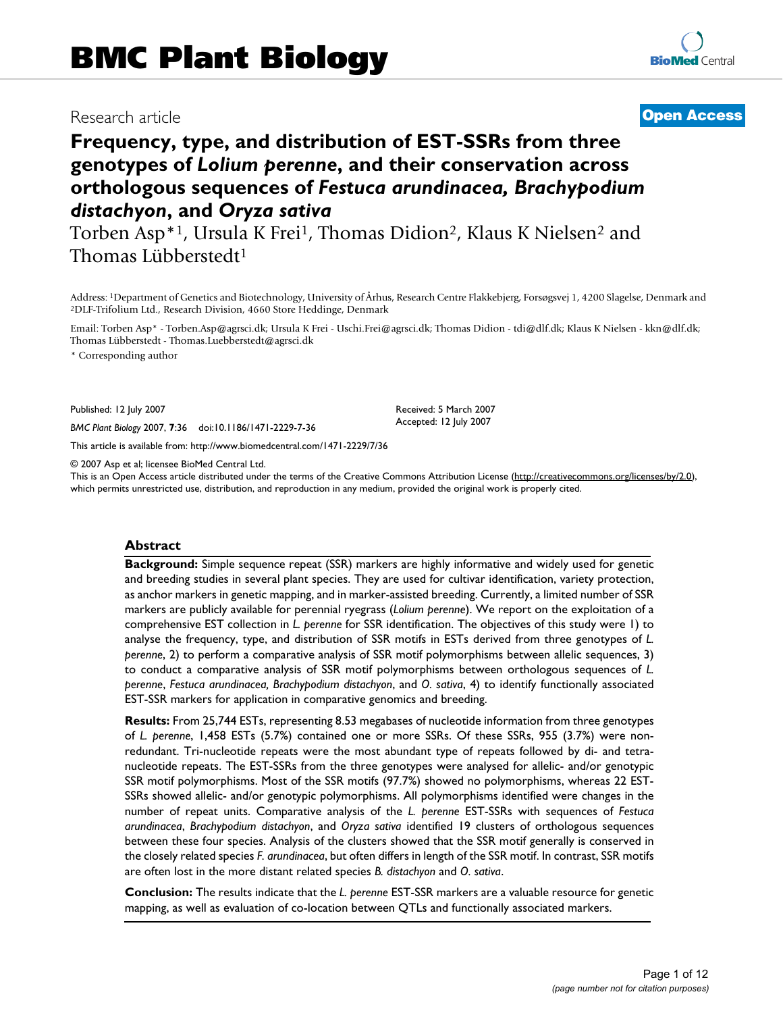# Research article **[Open Access](http://www.biomedcentral.com/info/about/charter/)**

# **Frequency, type, and distribution of EST-SSRs from three genotypes of** *Lolium perenne***, and their conservation across orthologous sequences of** *Festuca arundinacea, Brachypodium distachyon***, and** *Oryza sativa*

Torben Asp<sup>\*1</sup>, Ursula K Frei<sup>1</sup>, Thomas Didion<sup>2</sup>, Klaus K Nielsen<sup>2</sup> and Thomas Lübberstedt1

Address: 1Department of Genetics and Biotechnology, University of Århus, Research Centre Flakkebjerg, Forsøgsvej 1, 4200 Slagelse, Denmark and 2DLF-Trifolium Ltd., Research Division, 4660 Store Heddinge, Denmark

Email: Torben Asp\* - Torben.Asp@agrsci.dk; Ursula K Frei - Uschi.Frei@agrsci.dk; Thomas Didion - tdi@dlf.dk; Klaus K Nielsen - kkn@dlf.dk; Thomas Lübberstedt - Thomas.Luebberstedt@agrsci.dk

> Received: 5 March 2007 Accepted: 12 July 2007

\* Corresponding author

Published: 12 July 2007

*BMC Plant Biology* 2007, **7**:36 doi:10.1186/1471-2229-7-36

[This article is available from: http://www.biomedcentral.com/1471-2229/7/36](http://www.biomedcentral.com/1471-2229/7/36)

© 2007 Asp et al; licensee BioMed Central Ltd.

This is an Open Access article distributed under the terms of the Creative Commons Attribution License [\(http://creativecommons.org/licenses/by/2.0\)](http://creativecommons.org/licenses/by/2.0), which permits unrestricted use, distribution, and reproduction in any medium, provided the original work is properly cited.

#### **Abstract**

**Background:** Simple sequence repeat (SSR) markers are highly informative and widely used for genetic and breeding studies in several plant species. They are used for cultivar identification, variety protection, as anchor markers in genetic mapping, and in marker-assisted breeding. Currently, a limited number of SSR markers are publicly available for perennial ryegrass (*Lolium perenne*). We report on the exploitation of a comprehensive EST collection in *L. perenne* for SSR identification. The objectives of this study were 1) to analyse the frequency, type, and distribution of SSR motifs in ESTs derived from three genotypes of *L. perenne*, 2) to perform a comparative analysis of SSR motif polymorphisms between allelic sequences, 3) to conduct a comparative analysis of SSR motif polymorphisms between orthologous sequences of *L. perenne*, *Festuca arundinacea, Brachypodium distachyon*, and *O. sativa*, 4) to identify functionally associated EST-SSR markers for application in comparative genomics and breeding.

**Results:** From 25,744 ESTs, representing 8.53 megabases of nucleotide information from three genotypes of *L. perenne*, 1,458 ESTs (5.7%) contained one or more SSRs. Of these SSRs, 955 (3.7%) were nonredundant. Tri-nucleotide repeats were the most abundant type of repeats followed by di- and tetranucleotide repeats. The EST-SSRs from the three genotypes were analysed for allelic- and/or genotypic SSR motif polymorphisms. Most of the SSR motifs (97.7%) showed no polymorphisms, whereas 22 EST-SSRs showed allelic- and/or genotypic polymorphisms. All polymorphisms identified were changes in the number of repeat units. Comparative analysis of the *L. perenne* EST-SSRs with sequences of *Festuca arundinacea*, *Brachypodium distachyon*, and *Oryza sativa* identified 19 clusters of orthologous sequences between these four species. Analysis of the clusters showed that the SSR motif generally is conserved in the closely related species *F. arundinacea*, but often differs in length of the SSR motif. In contrast, SSR motifs are often lost in the more distant related species *B. distachyon* and *O. sativa*.

**Conclusion:** The results indicate that the *L. perenne* EST-SSR markers are a valuable resource for genetic mapping, as well as evaluation of co-location between QTLs and functionally associated markers.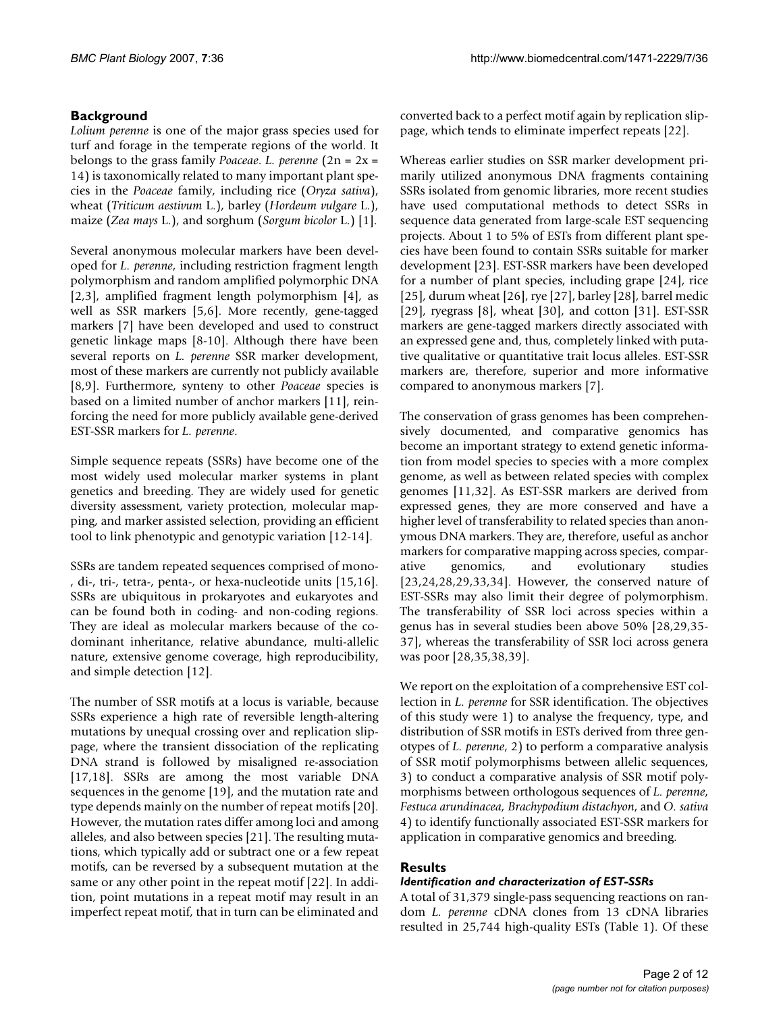# **Background**

*Lolium perenne* is one of the major grass species used for turf and forage in the temperate regions of the world. It belongs to the grass family *Poaceae*. *L. perenne* (2n = 2x = 14) is taxonomically related to many important plant species in the *Poaceae* family, including rice (*Oryza sativa*), wheat (*Triticum aestivum* L.), barley (*Hordeum vulgare* L.), maize (*Zea mays* L.), and sorghum (*Sorgum bicolor* L.) [1].

Several anonymous molecular markers have been developed for *L. perenne*, including restriction fragment length polymorphism and random amplified polymorphic DNA [2,3], amplified fragment length polymorphism [4], as well as SSR markers [5,6]. More recently, gene-tagged markers [7] have been developed and used to construct genetic linkage maps [8-10]. Although there have been several reports on *L. perenne* SSR marker development, most of these markers are currently not publicly available [8,9]. Furthermore, synteny to other *Poaceae* species is based on a limited number of anchor markers [11], reinforcing the need for more publicly available gene-derived EST-SSR markers for *L. perenne*.

Simple sequence repeats (SSRs) have become one of the most widely used molecular marker systems in plant genetics and breeding. They are widely used for genetic diversity assessment, variety protection, molecular mapping, and marker assisted selection, providing an efficient tool to link phenotypic and genotypic variation [12-14].

SSRs are tandem repeated sequences comprised of mono- , di-, tri-, tetra-, penta-, or hexa-nucleotide units [15,16]. SSRs are ubiquitous in prokaryotes and eukaryotes and can be found both in coding- and non-coding regions. They are ideal as molecular markers because of the codominant inheritance, relative abundance, multi-allelic nature, extensive genome coverage, high reproducibility, and simple detection [12].

The number of SSR motifs at a locus is variable, because SSRs experience a high rate of reversible length-altering mutations by unequal crossing over and replication slippage, where the transient dissociation of the replicating DNA strand is followed by misaligned re-association [17,18]. SSRs are among the most variable DNA sequences in the genome [19], and the mutation rate and type depends mainly on the number of repeat motifs [20]. However, the mutation rates differ among loci and among alleles, and also between species [21]. The resulting mutations, which typically add or subtract one or a few repeat motifs, can be reversed by a subsequent mutation at the same or any other point in the repeat motif [22]. In addition, point mutations in a repeat motif may result in an imperfect repeat motif, that in turn can be eliminated and converted back to a perfect motif again by replication slippage, which tends to eliminate imperfect repeats [22].

Whereas earlier studies on SSR marker development primarily utilized anonymous DNA fragments containing SSRs isolated from genomic libraries, more recent studies have used computational methods to detect SSRs in sequence data generated from large-scale EST sequencing projects. About 1 to 5% of ESTs from different plant species have been found to contain SSRs suitable for marker development [23]. EST-SSR markers have been developed for a number of plant species, including grape [24], rice [25], durum wheat [26], rye [27], barley [\[28\]](#page-11-0), barrel medic [29], ryegrass  $[8]$ , wheat  $[30]$ , and cotton  $[31]$ . EST-SSR markers are gene-tagged markers directly associated with an expressed gene and, thus, completely linked with putative qualitative or quantitative trait locus alleles. EST-SSR markers are, therefore, superior and more informative compared to anonymous markers [7].

The conservation of grass genomes has been comprehensively documented, and comparative genomics has become an important strategy to extend genetic information from model species to species with a more complex genome, as well as between related species with complex genomes [11,32]. As EST-SSR markers are derived from expressed genes, they are more conserved and have a higher level of transferability to related species than anonymous DNA markers. They are, therefore, useful as anchor markers for comparative mapping across species, comparative genomics, and evolutionary studies [23,24[,28](#page-11-0),29,33,34]. However, the conserved nature of EST-SSRs may also limit their degree of polymorphism. The transferability of SSR loci across species within a genus has in several studies been above 50% [\[28](#page-11-0),29[,35-](#page-11-1) 37], whereas the transferability of SSR loci across genera was poor [\[28](#page-11-0),[35,](#page-11-1)38,39].

We report on the exploitation of a comprehensive EST collection in *L. perenne* for SSR identification. The objectives of this study were 1) to analyse the frequency, type, and distribution of SSR motifs in ESTs derived from three genotypes of *L. perenne*, 2) to perform a comparative analysis of SSR motif polymorphisms between allelic sequences, 3) to conduct a comparative analysis of SSR motif polymorphisms between orthologous sequences of *L. perenne*, *Festuca arundinacea, Brachypodium distachyon*, and *O. sativa* 4) to identify functionally associated EST-SSR markers for application in comparative genomics and breeding.

# **Results**

# *Identification and characterization of EST-SSRs*

A total of 31,379 single-pass sequencing reactions on random *L. perenne* cDNA clones from 13 cDNA libraries resulted in 25,744 high-quality ESTs (Table 1). Of these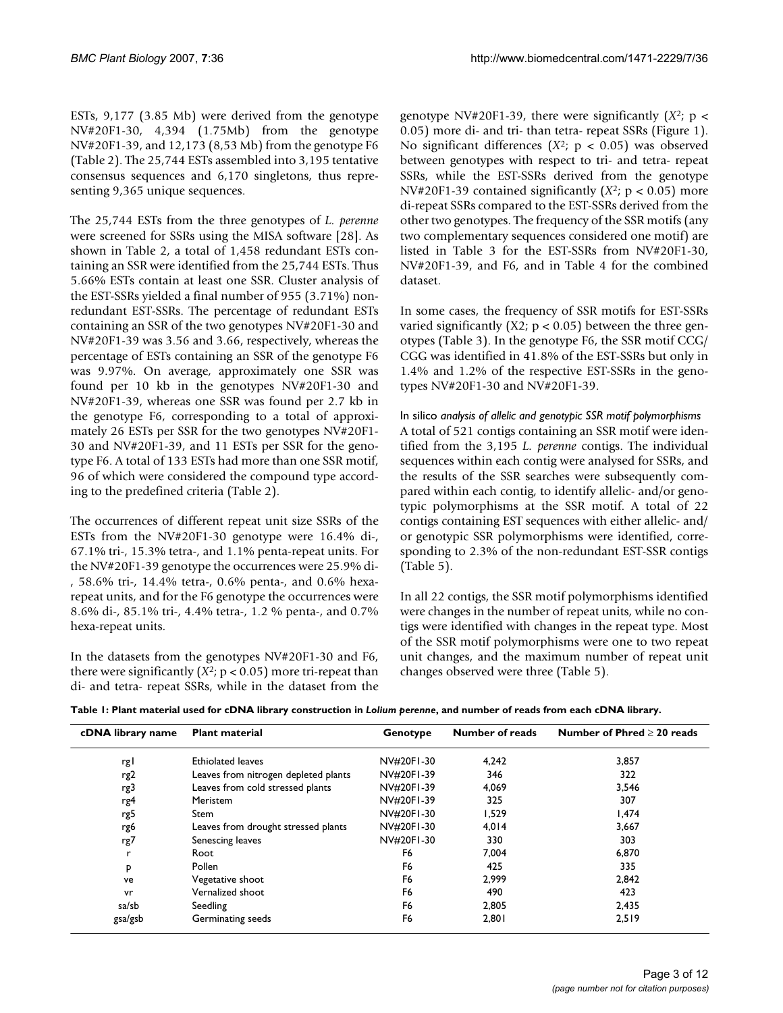ESTs, 9,177 (3.85 Mb) were derived from the genotype NV#20F1-30, 4,394 (1.75Mb) from the genotype NV#20F1-39, and 12,173 (8,53 Mb) from the genotype F6 (Table 2). The 25,744 ESTs assembled into 3,195 tentative consensus sequences and 6,170 singletons, thus representing 9,365 unique sequences.

The 25,744 ESTs from the three genotypes of *L. perenne* were screened for SSRs using the MISA software [\[28\]](#page-11-0). As shown in Table 2, a total of 1,458 redundant ESTs containing an SSR were identified from the 25,744 ESTs. Thus 5.66% ESTs contain at least one SSR. Cluster analysis of the EST-SSRs yielded a final number of 955 (3.71%) nonredundant EST-SSRs. The percentage of redundant ESTs containing an SSR of the two genotypes NV#20F1-30 and NV#20F1-39 was 3.56 and 3.66, respectively, whereas the percentage of ESTs containing an SSR of the genotype F6 was 9.97%. On average, approximately one SSR was found per 10 kb in the genotypes NV#20F1-30 and NV#20F1-39, whereas one SSR was found per 2.7 kb in the genotype F6, corresponding to a total of approximately 26 ESTs per SSR for the two genotypes NV#20F1- 30 and NV#20F1-39, and 11 ESTs per SSR for the genotype F6. A total of 133 ESTs had more than one SSR motif, 96 of which were considered the compound type according to the predefined criteria (Table 2).

The occurrences of different repeat unit size SSRs of the ESTs from the NV#20F1-30 genotype were 16.4% di-, 67.1% tri-, 15.3% tetra-, and 1.1% penta-repeat units. For the NV#20F1-39 genotype the occurrences were 25.9% di- , 58.6% tri-, 14.4% tetra-, 0.6% penta-, and 0.6% hexarepeat units, and for the F6 genotype the occurrences were 8.6% di-, 85.1% tri-, 4.4% tetra-, 1.2 % penta-, and 0.7% hexa-repeat units.

In the datasets from the genotypes NV#20F1-30 and F6, there were significantly  $(X^2; p < 0.05)$  more tri-repeat than di- and tetra- repeat SSRs, while in the dataset from the genotype NV#20F1-39, there were significantly  $(X^2; p <$ 0.05) more di- and tri- than tetra- repeat SSRs (Figure 1). No significant differences (*X*2; p < 0.05) was observed between genotypes with respect to tri- and tetra- repeat SSRs, while the EST-SSRs derived from the genotype NV#20F1-39 contained significantly  $(X^2; p < 0.05)$  more di-repeat SSRs compared to the EST-SSRs derived from the other two genotypes. The frequency of the SSR motifs (any two complementary sequences considered one motif) are listed in Table 3 for the EST-SSRs from NV#20F1-30, NV#20F1-39, and F6, and in Table 4 for the combined dataset.

In some cases, the frequency of SSR motifs for EST-SSRs varied significantly (X2;  $p < 0.05$ ) between the three genotypes (Table 3). In the genotype F6, the SSR motif CCG/ CGG was identified in 41.8% of the EST-SSRs but only in 1.4% and 1.2% of the respective EST-SSRs in the genotypes NV#20F1-30 and NV#20F1-39.

In silico *analysis of allelic and genotypic SSR motif polymorphisms* A total of 521 contigs containing an SSR motif were identified from the 3,195 *L. perenne* contigs. The individual sequences within each contig were analysed for SSRs, and the results of the SSR searches were subsequently compared within each contig, to identify allelic- and/or genotypic polymorphisms at the SSR motif. A total of 22 contigs containing EST sequences with either allelic- and/ or genotypic SSR polymorphisms were identified, corresponding to 2.3% of the non-redundant EST-SSR contigs (Table 5).

In all 22 contigs, the SSR motif polymorphisms identified were changes in the number of repeat units, while no contigs were identified with changes in the repeat type. Most of the SSR motif polymorphisms were one to two repeat unit changes, and the maximum number of repeat unit changes observed were three (Table 5).

|  | Table I: Plant material used for cDNA library construction in Lolium perenne, and number of reads from each cDNA library. |
|--|---------------------------------------------------------------------------------------------------------------------------|
|--|---------------------------------------------------------------------------------------------------------------------------|

| cDNA library name | <b>Plant material</b>                | Genotype   | Number of reads | Number of Phred $>$ 20 reads |
|-------------------|--------------------------------------|------------|-----------------|------------------------------|
| rg l              | <b>Ethiolated leaves</b>             | NV#20F1-30 | 4,242           | 3,857                        |
| rg <sub>2</sub>   | Leaves from nitrogen depleted plants | NV#20F1-39 | 346             | 322                          |
| rg3               | Leaves from cold stressed plants     | NV#20FI-39 | 4,069           | 3,546                        |
| rg4               | <b>Meristem</b>                      | NV#20F1-39 | 325             | 307                          |
| rg5               | Stem                                 | NV#20F1-30 | 1,529           | 1,474                        |
| rg6               | Leaves from drought stressed plants  | NV#20F1-30 | 4,014           | 3,667                        |
| rg7               | Senescing leaves                     | NV#20F1-30 | 330             | 303                          |
| r                 | Root                                 | F6         | 7,004           | 6,870                        |
| P                 | Pollen                               | F6         | 425             | 335                          |
| ve                | Vegetative shoot                     | F6         | 2.999           | 2,842                        |
| vr                | Vernalized shoot                     | F6         | 490             | 423                          |
| sa/sb             | Seedling                             | F6         | 2,805           | 2,435                        |
| gsa/gsb           | Germinating seeds                    | F6         | 2,801           | 2,519                        |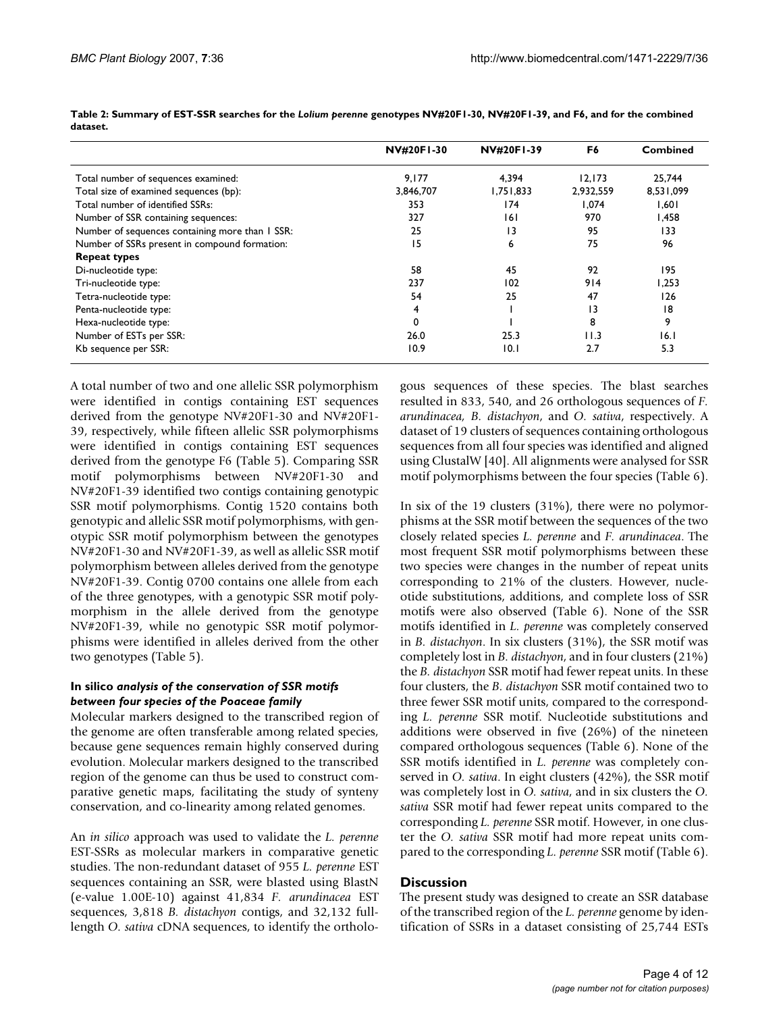|                                                 | <b>NV#20F1-30</b> | <b>NV#20F1-39</b> | F6             | <b>Combined</b> |
|-------------------------------------------------|-------------------|-------------------|----------------|-----------------|
| Total number of sequences examined:             | 9,177             | 4.394             | 12, 173        | 25,744          |
| Total size of examined sequences (bp):          | 3,846,707         | 1,751,833         | 2,932,559      | 8,531,099       |
| Total number of identified SSRs:                | 353               | 174               | 1,074          | 1,601           |
| Number of SSR containing sequences:             | 327               | 161               | 970            | 1,458           |
| Number of sequences containing more than I SSR: | 25                | 13                | 95             | 133             |
| Number of SSRs present in compound formation:   | 15                | 6                 | 75             | 96              |
| <b>Repeat types</b>                             |                   |                   |                |                 |
| Di-nucleotide type:                             | 58                | 45                | 92             | 195             |
| Tri-nucleotide type:                            | 237               | 102               | 914            | 1,253           |
| Tetra-nucleotide type:                          | 54                | 25                | 47             | 126             |
| Penta-nucleotide type:                          | 4                 |                   | $\overline{1}$ | 18              |
| Hexa-nucleotide type:                           | 0                 |                   | 8              | 9               |
| Number of ESTs per SSR:                         | 26.0              | 25.3              | 11.3           | 16. I           |
| Kb sequence per SSR:                            | 10.9              | 0.1               | 2.7            | 5.3             |

**Table 2: Summary of EST-SSR searches for the** *Lolium perenne* **genotypes NV#20F1-30, NV#20F1-39, and F6, and for the combined dataset.**

A total number of two and one allelic SSR polymorphism were identified in contigs containing EST sequences derived from the genotype NV#20F1-30 and NV#20F1- 39, respectively, while fifteen allelic SSR polymorphisms were identified in contigs containing EST sequences derived from the genotype F6 (Table 5). Comparing SSR motif polymorphisms between NV#20F1-30 and NV#20F1-39 identified two contigs containing genotypic SSR motif polymorphisms. Contig 1520 contains both genotypic and allelic SSR motif polymorphisms, with genotypic SSR motif polymorphism between the genotypes NV#20F1-30 and NV#20F1-39, as well as allelic SSR motif polymorphism between alleles derived from the genotype NV#20F1-39. Contig 0700 contains one allele from each of the three genotypes, with a genotypic SSR motif polymorphism in the allele derived from the genotype NV#20F1-39, while no genotypic SSR motif polymorphisms were identified in alleles derived from the other two genotypes (Table 5).

### **In silico** *analysis of the conservation of SSR motifs between four species of the Poaceae family*

Molecular markers designed to the transcribed region of the genome are often transferable among related species, because gene sequences remain highly conserved during evolution. Molecular markers designed to the transcribed region of the genome can thus be used to construct comparative genetic maps, facilitating the study of synteny conservation, and co-linearity among related genomes.

An *in silico* approach was used to validate the *L. perenne* EST-SSRs as molecular markers in comparative genetic studies. The non-redundant dataset of 955 *L. perenne* EST sequences containing an SSR, were blasted using BlastN (e-value 1.00E-10) against 41,834 *F. arundinacea* EST sequences, 3,818 *B. distachyon* contigs, and 32,132 fulllength *O. sativa* cDNA sequences, to identify the orthologous sequences of these species. The blast searches resulted in 833, 540, and 26 orthologous sequences of *F. arundinacea, B. distachyon*, and *O. sativa*, respectively. A dataset of 19 clusters of sequences containing orthologous sequences from all four species was identified and aligned using ClustalW [40]. All alignments were analysed for SSR motif polymorphisms between the four species (Table 6).

In six of the 19 clusters (31%), there were no polymorphisms at the SSR motif between the sequences of the two closely related species *L. perenne* and *F. arundinacea*. The most frequent SSR motif polymorphisms between these two species were changes in the number of repeat units corresponding to 21% of the clusters. However, nucleotide substitutions, additions, and complete loss of SSR motifs were also observed (Table 6). None of the SSR motifs identified in *L. perenne* was completely conserved in *B. distachyon*. In six clusters (31%), the SSR motif was completely lost in *B. distachyon*, and in four clusters (21%) the *B. distachyon* SSR motif had fewer repeat units. In these four clusters, the *B. distachyon* SSR motif contained two to three fewer SSR motif units, compared to the corresponding *L. perenne* SSR motif. Nucleotide substitutions and additions were observed in five (26%) of the nineteen compared orthologous sequences (Table 6). None of the SSR motifs identified in *L. perenne* was completely conserved in *O. sativa*. In eight clusters (42%), the SSR motif was completely lost in *O. sativa*, and in six clusters the *O. sativa* SSR motif had fewer repeat units compared to the corresponding *L. perenne* SSR motif. However, in one cluster the *O. sativa* SSR motif had more repeat units compared to the corresponding *L. perenne* SSR motif (Table 6).

# **Discussion**

The present study was designed to create an SSR database of the transcribed region of the *L. perenne* genome by identification of SSRs in a dataset consisting of 25,744 ESTs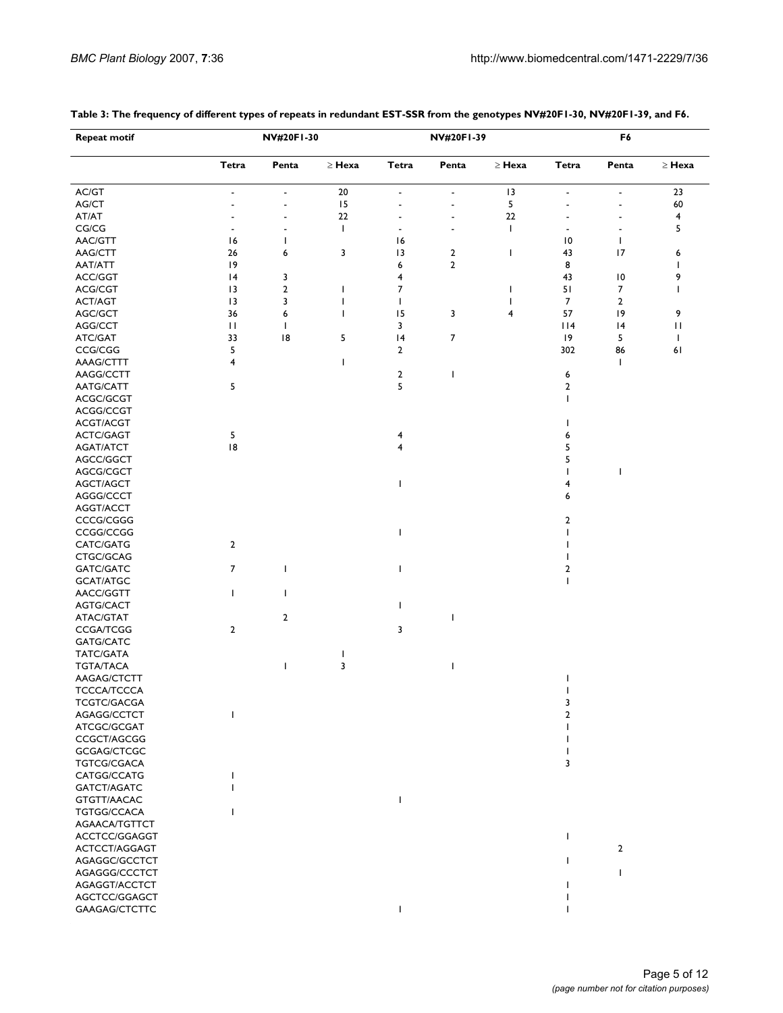| <b>Repeat motif</b> |                          | NV#20F1-30     |              | NV#20F1-39     |                          |              | F6                       |                          |                         |  |
|---------------------|--------------------------|----------------|--------------|----------------|--------------------------|--------------|--------------------------|--------------------------|-------------------------|--|
|                     | Tetra                    | Penta          | $\geq$ Hexa  | Tetra          | Penta                    | $\geq$ Hexa  | Tetra                    | Penta                    | $\geq$ Hexa             |  |
| AC/GT               | ٠                        | ٠              | 20           | $\overline{a}$ | $\overline{\phantom{a}}$ | 13           | ٠                        | $\overline{\phantom{a}}$ | 23                      |  |
| AG/CT               | $\overline{a}$           | $\overline{a}$ | 15           |                |                          | 5            | $\overline{a}$           |                          | 60                      |  |
| AT/AT               | $\overline{a}$           |                | 22           |                |                          | 22           |                          |                          | $\overline{\mathbf{4}}$ |  |
| CG/CG               | $\overline{\phantom{m}}$ |                | $\mathbf{I}$ |                |                          | $\mathbf{I}$ | $\overline{\phantom{m}}$ |                          | 5                       |  |
| AAC/GTT             | 16                       | ı              |              | 16             |                          |              | 10                       | L                        |                         |  |
| AAG/CTT             | 26                       | 6              | 3            | 3              | $\overline{\mathbf{2}}$  | T            | 43                       | 17                       | 6                       |  |
| AAT/ATT             | 9                        |                |              | 6              | $\mathbf{2}$             |              | 8                        |                          | $\mathbf{I}$            |  |
| ACC/GGT             | 4                        | 3              |              | 4              |                          |              | 43                       | 10                       | 9                       |  |
| ACG/CGT             | $\overline{13}$          | $\mathbf{2}$   | ı            | 7              |                          | ı            | 51                       | 7                        | I.                      |  |
| ACT/AGT             | 13                       | 3              | ı            | $\mathbf{I}$   |                          |              | 7                        | $\mathbf{2}$             |                         |  |
| AGC/GCT             | 36                       | 6              | ı            | 15             | 3                        | 4            | 57                       | 9                        | 9                       |  |
| AGG/CCT             | П                        | $\mathbf{I}$   |              | 3              |                          |              | $ $   4                  | 4                        | П                       |  |
|                     | 33                       | 8              |              | 4              | 7                        |              | 9                        | 5                        | T                       |  |
| ATC/GAT             | 5                        |                | 5            | $\mathbf{2}$   |                          |              |                          |                          |                         |  |
| CCG/CGG             |                          |                |              |                |                          |              | 302                      | 86                       | 61                      |  |
| AAAG/CTTT           | 4                        |                | ı            |                |                          |              |                          | L                        |                         |  |
| AAGG/CCTT           |                          |                |              | $\overline{2}$ | ı                        |              | 6                        |                          |                         |  |
| AATG/CATT           | 5                        |                |              | 5              |                          |              | $\mathbf{2}$             |                          |                         |  |
| ACGC/GCGT           |                          |                |              |                |                          |              | $\mathbf{I}$             |                          |                         |  |
| ACGG/CCGT           |                          |                |              |                |                          |              |                          |                          |                         |  |
| ACGT/ACGT           |                          |                |              |                |                          |              | ш                        |                          |                         |  |
| ACTC/GAGT           | 5                        |                |              | 4              |                          |              | 6                        |                          |                         |  |
| AGAT/ATCT           | 8                        |                |              | 4              |                          |              | 5                        |                          |                         |  |
| AGCC/GGCT           |                          |                |              |                |                          |              | 5                        |                          |                         |  |
| AGCG/CGCT           |                          |                |              |                |                          |              |                          | ı                        |                         |  |
| AGCT/AGCT           |                          |                |              |                |                          |              | 4                        |                          |                         |  |
| AGGG/CCCT           |                          |                |              |                |                          |              | 6                        |                          |                         |  |
| AGGT/ACCT           |                          |                |              |                |                          |              |                          |                          |                         |  |
| CCCG/CGGG           |                          |                |              |                |                          |              | 2                        |                          |                         |  |
| CCGG/CCGG           |                          |                |              |                |                          |              | L                        |                          |                         |  |
| CATC/GATG           | $\overline{2}$           |                |              |                |                          |              |                          |                          |                         |  |
| CTGC/GCAG           |                          |                |              |                |                          |              |                          |                          |                         |  |
| GATC/GATC           | 7                        | п              |              |                |                          |              | 2                        |                          |                         |  |
| GCAT/ATGC           |                          |                |              |                |                          |              | ı                        |                          |                         |  |
| AACC/GGTT           | T                        | $\mathbf{I}$   |              |                |                          |              |                          |                          |                         |  |
| AGTG/CACT           |                          |                |              | ı              |                          |              |                          |                          |                         |  |
| ATAC/GTAT           |                          | 2              |              |                | ı                        |              |                          |                          |                         |  |
| <b>CCGA/TCGG</b>    | 2                        |                |              | 3              |                          |              |                          |                          |                         |  |
| GATG/CATC           |                          |                |              |                |                          |              |                          |                          |                         |  |
| TATC/GATA           |                          |                |              |                |                          |              |                          |                          |                         |  |
| <b>TGTA/TACA</b>    |                          | ı              | 3            |                | ı                        |              |                          |                          |                         |  |
| AAGAG/CTCTT         |                          |                |              |                |                          |              |                          |                          |                         |  |
| <b>TCCCA/TCCCA</b>  |                          |                |              |                |                          |              |                          |                          |                         |  |
| TCGTC/GACGA         |                          |                |              |                |                          |              |                          |                          |                         |  |
| AGAGG/CCTCT         |                          |                |              |                |                          |              | 2                        |                          |                         |  |
| ATCGC/GCGAT         |                          |                |              |                |                          |              |                          |                          |                         |  |
| CCGCT/AGCGG         |                          |                |              |                |                          |              |                          |                          |                         |  |
| GCGAG/CTCGC         |                          |                |              |                |                          |              |                          |                          |                         |  |
| <b>TGTCG/CGACA</b>  |                          |                |              |                |                          |              | 3                        |                          |                         |  |
| CATGG/CCATG         |                          |                |              |                |                          |              |                          |                          |                         |  |
| GATCT/AGATC         |                          |                |              |                |                          |              |                          |                          |                         |  |
| GTGTT/AACAC         |                          |                |              |                |                          |              |                          |                          |                         |  |
| TGTGG/CCACA         |                          |                |              |                |                          |              |                          |                          |                         |  |
|                     |                          |                |              |                |                          |              |                          |                          |                         |  |
| AGAACA/TGTTCT       |                          |                |              |                |                          |              |                          |                          |                         |  |
| ACCTCC/GGAGGT       |                          |                |              |                |                          |              |                          |                          |                         |  |
| ACTCCT/AGGAGT       |                          |                |              |                |                          |              |                          | $\overline{2}$           |                         |  |
| AGAGGC/GCCTCT       |                          |                |              |                |                          |              |                          |                          |                         |  |
| AGAGGG/CCCTCT       |                          |                |              |                |                          |              |                          |                          |                         |  |
| AGAGGT/ACCTCT       |                          |                |              |                |                          |              |                          |                          |                         |  |
| AGCTCC/GGAGCT       |                          |                |              |                |                          |              |                          |                          |                         |  |
| GAAGAG/CTCTTC       |                          |                |              |                |                          |              |                          |                          |                         |  |

#### **Table 3: The frequency of different types of repeats in redundant EST-SSR from the genotypes NV#20F1-30, NV#20F1-39, and F6.**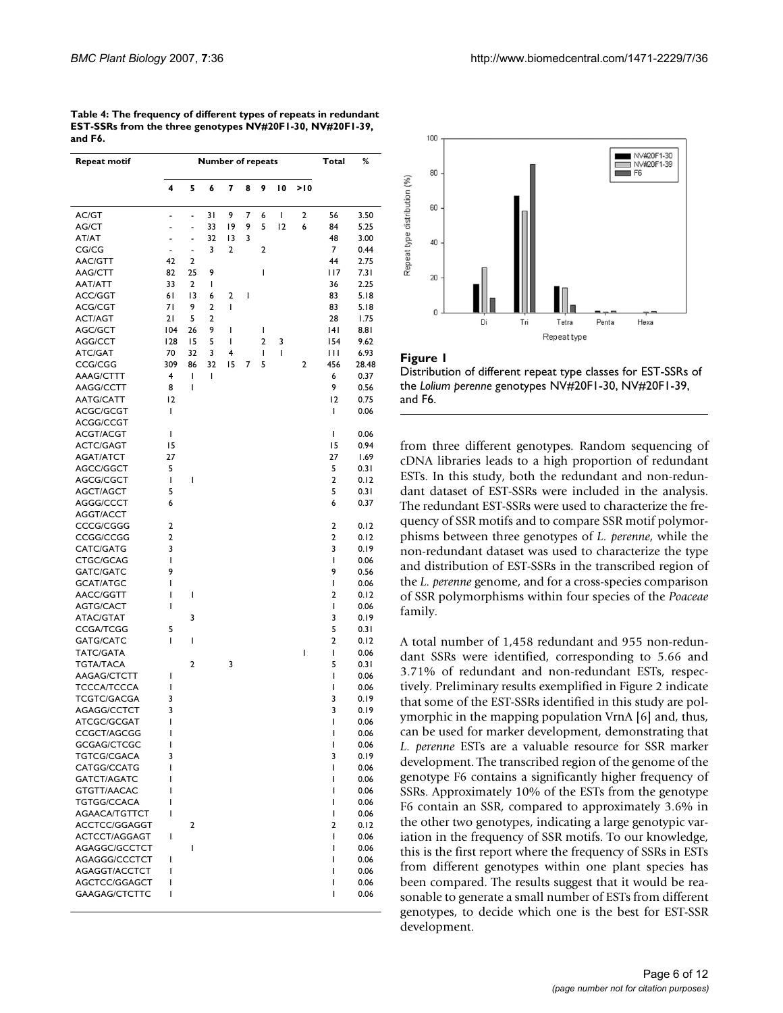| <b>Repeat motif</b>           |                |                | <b>Number of repeats</b> |    |   |                |    |     | Total                   | %            |
|-------------------------------|----------------|----------------|--------------------------|----|---|----------------|----|-----|-------------------------|--------------|
|                               | 4              | 5              | 6                        | 7  | 8 | 9              | 10 | >10 |                         |              |
| AC/GT                         | $\overline{a}$ |                | 31                       | 9  | 7 | 6              | I  | 2   | 56                      | 3.50         |
| AG/CT                         | $\overline{a}$ |                | 33                       | 19 | 9 | 5              | 12 | 6   | 84                      | 5.25         |
| AT/AT                         | ä,             |                | 32                       | 13 | 3 |                |    |     | 48                      | 3.00         |
| CG/CG                         | ÷,             | $\overline{a}$ | 3                        | 2  |   | 2              |    |     | 7                       | 0.44         |
| AAC/GTT                       | 42             | 2              |                          |    |   |                |    |     | 44                      | 2.75         |
| AAG/CTT                       | 82             | 25             | 9                        |    |   | T              |    |     | 117                     | 7.31         |
| AAT/ATT                       | 33             | $\overline{2}$ | I                        |    |   |                |    |     | 36                      | 2.25         |
| ACC/GGT                       | 61             | 13             | 6                        | 2  | ı |                |    |     | 83                      | 5.18         |
| ACG/CGT                       | 71             | 9              | $\overline{2}$           | T  |   |                |    |     | 83                      | 5.18         |
| <b>ACT/AGT</b>                | 21             | 5              | 2                        |    |   |                |    |     | 28                      | 1.75         |
| AGC/GCT                       | 104            | 26             | 9                        | ı  |   | I              |    |     | 4                       | 8.81         |
| AGG/CCT                       | 128            | 15             | 5                        | I  |   | $\overline{2}$ | 3  |     | 154                     | 9.62         |
| ATC/GAT                       | 70             | 32             | 3                        | 4  |   | T              | I  |     | Ш                       | 6.93         |
| CCG/CGG                       | 309            | 86             | 32                       | 15 | 7 | 5              |    | 2   | 456                     | 28.48        |
| AAAG/CTTT                     | 4              | T              | I                        |    |   |                |    |     | 6                       | 0.37         |
| AAGG/CCTT                     | 8              | I              |                          |    |   |                |    |     | 9                       | 0.56         |
| <b>AATG/CATT</b>              | 12             |                |                          |    |   |                |    |     | $ 2\rangle$             | 0.75         |
| ACGC/GCGT                     | T              |                |                          |    |   |                |    |     | T                       | 0.06         |
| ACGG/CCGT                     |                |                |                          |    |   |                |    |     |                         |              |
| ACGT/ACGT                     | I              |                |                          |    |   |                |    |     | I                       | 0.06         |
| <b>ACTC/GAGT</b>              | 15             |                |                          |    |   |                |    |     | 15                      | 0.94         |
| <b>AGAT/ATCT</b>              | 27             |                |                          |    |   |                |    |     | 27                      | 1.69         |
| AGCC/GGCT                     | 5              |                |                          |    |   |                |    |     | 5                       | 0.31         |
| AGCG/CGCT                     | T              | I              |                          |    |   |                |    |     | $\overline{\mathbf{c}}$ | 0.12         |
| AGCT/AGCT                     | 5              |                |                          |    |   |                |    |     | 5                       | 0.31         |
| AGGG/CCCT                     | 6              |                |                          |    |   |                |    |     | 6                       | 0.37         |
| AGGT/ACCT                     |                |                |                          |    |   |                |    |     |                         |              |
| CCCG/CGGG                     | 2              |                |                          |    |   |                |    |     | $\overline{\mathbf{c}}$ | 0.12         |
| CCGG/CCGG                     | 2              |                |                          |    |   |                |    |     | $\overline{\mathbf{c}}$ | 0.12         |
| CATC/GATG                     | 3              |                |                          |    |   |                |    |     | 3                       | 0.19         |
| CTGC/GCAG                     | T<br>9         |                |                          |    |   |                |    |     | T<br>9                  | 0.06         |
| GATC/GATC                     | I              |                |                          |    |   |                |    |     | T                       | 0.56         |
| <b>GCAT/ATGC</b><br>AACC/GGTT | I              | I              |                          |    |   |                |    |     | 2                       | 0.06<br>0.12 |
| <b>AGTG/CACT</b>              | I              |                |                          |    |   |                |    |     | T                       | 0.06         |
| ATAC/GTAT                     |                | 3              |                          |    |   |                |    |     | 3                       | 0.19         |
| <b>CCGA/TCGG</b>              | 5              |                |                          |    |   |                |    |     | 5                       | 0.31         |
| GATG/CATC                     | T              | T              |                          |    |   |                |    |     | 2                       | 0.12         |
| TATC/GATA                     |                |                |                          |    |   |                |    | I   | T                       | 0.06         |
| <b>TGTA/TACA</b>              |                | 2              |                          | 3  |   |                |    |     | 5                       | 0.31         |
| AAGAG/CTCTT                   | I              |                |                          |    |   |                |    |     | T                       | 0.06         |
| <b>TCCCA/TCCCA</b>            | I              |                |                          |    |   |                |    |     | T                       | 0.06         |
| <b>TCGTC/GACGA</b>            | 3              |                |                          |    |   |                |    |     | 3                       | 0.19         |
| AGAGG/CCTCT                   | 3              |                |                          |    |   |                |    |     | 3                       | 0.19         |
| ATCGC/GCGAT                   | I              |                |                          |    |   |                |    |     | T                       | 0.06         |
| CCGCT/AGCGG                   | ı              |                |                          |    |   |                |    |     | I                       | 0.06         |
| GCGAG/CTCGC                   | ı              |                |                          |    |   |                |    |     | I                       | 0.06         |
| TGTCG/CGACA                   | 3              |                |                          |    |   |                |    |     | 3                       | 0.19         |
| CATGG/CCATG                   | I              |                |                          |    |   |                |    |     | T                       | 0.06         |
| GATCT/AGATC                   | I              |                |                          |    |   |                |    |     | ı                       | 0.06         |
| GTGTT/AACAC                   | I              |                |                          |    |   |                |    |     | ı                       | 0.06         |
| TGTGG/CCACA                   | ı              |                |                          |    |   |                |    |     | ı                       | 0.06         |
| AGAACA/TGTTCT                 | I              |                |                          |    |   |                |    |     | T                       | 0.06         |
| ACCTCC/GGAGGT                 |                | 2              |                          |    |   |                |    |     | $\overline{2}$          | 0.12         |
| ACTCCT/AGGAGT                 | T              |                |                          |    |   |                |    |     | T                       | 0.06         |
| AGAGGC/GCCTCT                 |                | I              |                          |    |   |                |    |     | ı                       | 0.06         |
| AGAGGG/CCCTCT                 | ı              |                |                          |    |   |                |    |     | ı                       | 0.06         |
| AGAGGT/ACCTCT                 | ı              |                |                          |    |   |                |    |     | ı                       | 0.06         |
| AGCTCC/GGAGCT                 | I              |                |                          |    |   |                |    |     | ı                       | 0.06         |
| GAAGAG/CTCTTC                 | T              |                |                          |    |   |                |    |     | I                       | 0.06         |

| Table 4: The frequency of different types of repeats in redundant |
|-------------------------------------------------------------------|
| EST-SSRs from the three genotypes NV#20F1-30, NV#20F1-39,         |
| and F6.                                                           |





from three different genotypes. Random sequencing of cDNA libraries leads to a high proportion of redundant ESTs. In this study, both the redundant and non-redundant dataset of EST-SSRs were included in the analysis. The redundant EST-SSRs were used to characterize the frequency of SSR motifs and to compare SSR motif polymorphisms between three genotypes of *L. perenne*, while the non-redundant dataset was used to characterize the type and distribution of EST-SSRs in the transcribed region of the *L. perenne* genome, and for a cross-species comparison of SSR polymorphisms within four species of the *Poaceae* family.

A total number of 1,458 redundant and 955 non-redundant SSRs were identified, corresponding to 5.66 and 3.71% of redundant and non-redundant ESTs, respectively. Preliminary results exemplified in Figure 2 indicate that some of the EST-SSRs identified in this study are polymorphic in the mapping population VrnA [6] and, thus, can be used for marker development, demonstrating that *L. perenne* ESTs are a valuable resource for SSR marker development. The transcribed region of the genome of the genotype F6 contains a significantly higher frequency of SSRs. Approximately 10% of the ESTs from the genotype F6 contain an SSR, compared to approximately 3.6% in the other two genotypes, indicating a large genotypic variation in the frequency of SSR motifs. To our knowledge, this is the first report where the frequency of SSRs in ESTs from different genotypes within one plant species has been compared. The results suggest that it would be reasonable to generate a small number of ESTs from different genotypes, to decide which one is the best for EST-SSR development.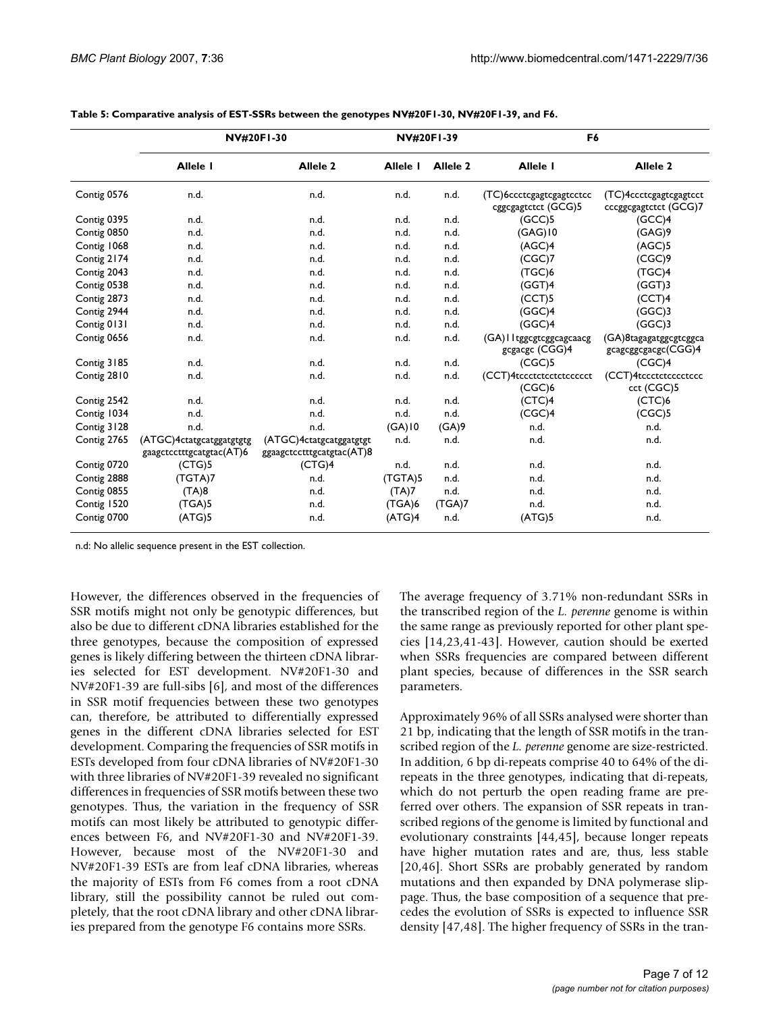|             |                                                      | <b>NV#20F1-30</b>                                    | <b>NV#20F1-39</b>    |                     | F <sub>6</sub>                                  |                                                 |  |
|-------------|------------------------------------------------------|------------------------------------------------------|----------------------|---------------------|-------------------------------------------------|-------------------------------------------------|--|
|             | Allele I                                             | Allele <sub>2</sub>                                  | Allele I             | Allele <sub>2</sub> | Allele I                                        | Allele <sub>2</sub>                             |  |
| Contig 0576 | n.d.                                                 | n.d.                                                 | n.d.                 | n.d.                | (TC)6ccctcgagtcgagtcctcc<br>cggcgagtctct (GCG)5 | (TC)4ccctcgagtcgagtcct<br>cccggcgagtctct (GCG)7 |  |
| Contig 0395 | n.d.                                                 | n.d.                                                 | n.d.                 | n.d.                | (GCC)5                                          | (GCC)4                                          |  |
| Contig 0850 | n.d.                                                 | n.d.                                                 | n.d.                 | n.d.                | $(GAG)$ 10                                      | (GAG)9                                          |  |
| Contig 1068 | n.d.                                                 | n.d.                                                 | n.d.                 | n.d.                | (AGC)4                                          | (AGC)5                                          |  |
| Contig 2174 | n.d.                                                 | n.d.                                                 | n.d.                 | n.d.                | (CGC)7                                          | (CGC)9                                          |  |
| Contig 2043 | n.d.                                                 | n.d.                                                 | n.d.                 | n.d.                | (TGC)6                                          | (TGC)4                                          |  |
| Contig 0538 | n.d.                                                 | n.d.                                                 | n.d.                 | n.d.                | (GGT)4                                          | (GGT)3                                          |  |
| Contig 2873 | n.d.                                                 | n.d.                                                 | n.d.                 | n.d.                | (CCT)5                                          | (CCT)4                                          |  |
| Contig 2944 | n.d.                                                 | n.d.                                                 | n.d.                 | n.d.                | (GGC)4                                          | (GGC)3                                          |  |
| Contig 0131 | n.d.                                                 | n.d.                                                 | n.d.                 | n.d.                | (GGC)4                                          | (GGC)3                                          |  |
| Contig 0656 | n.d.                                                 | n.d.                                                 | n.d.                 | n.d.                | (GA) I I tggcgtcggcagcaacg<br>gcgacgc (CGG)4    | (GA) 8tagagatggcgtcggca<br>gcagcggcgacgc(CGG)4  |  |
| Contig 3185 | n.d.                                                 | n.d.                                                 | n.d.                 | n.d.                | (CGC)5                                          | (CGC)4                                          |  |
| Contig 2810 | n.d.                                                 | n.d.                                                 | n.d.                 | n.d.                | (CCT)4tccctctcctctccccct<br>(CGC)6              | (CCT)4tccctctcccctccc<br>cct (CGC)5             |  |
| Contig 2542 | n.d.                                                 | n.d.                                                 | n.d.                 | n.d.                | (CTC)4                                          | (CTC)6                                          |  |
| Contig 1034 | n.d.                                                 | n.d.                                                 | n.d.                 | n.d.                | (CGC)4                                          | (CGC)5                                          |  |
| Contig 3128 | n.d.                                                 | n.d.                                                 | $(GA)$ <sub>10</sub> | (GA)9               | n.d.                                            | n.d.                                            |  |
| Contig 2765 | (ATGC)4ctatgcatggatgtgtg<br>gaagctcctttgcatgtac(AT)6 | (ATGC)4ctatgcatggatgtgt<br>ggaagctcctttgcatgtac(AT)8 | n.d.                 | n.d.                | n.d.                                            | n.d.                                            |  |
| Contig 0720 | (CTG)5                                               | (CTG)4                                               | n.d.                 | n.d.                | n.d.                                            | n.d.                                            |  |
| Contig 2888 | (TGTA)7                                              | n.d.                                                 | (TGTA)5              | n.d.                | n.d.                                            | n.d.                                            |  |
| Contig 0855 | (TA)8                                                | n.d.                                                 | (TA)7                | n.d.                | n.d.                                            | n.d.                                            |  |
| Contig 1520 | (TGA)5                                               | n.d.                                                 | (TGA)6               | (TGA)7              | n.d.                                            | n.d.                                            |  |
| Contig 0700 | (ATG)5                                               | n.d.                                                 | (ATG)4               | n.d.                | (ATG)5                                          | n.d.                                            |  |

| Table 5: Comparative analysis of EST-SSRs between the genotypes NV#20F1-30, NV#20F1-39, and F6. |  |  |  |
|-------------------------------------------------------------------------------------------------|--|--|--|
|                                                                                                 |  |  |  |

n.d: No allelic sequence present in the EST collection.

However, the differences observed in the frequencies of SSR motifs might not only be genotypic differences, but also be due to different cDNA libraries established for the three genotypes, because the composition of expressed genes is likely differing between the thirteen cDNA libraries selected for EST development. NV#20F1-30 and NV#20F1-39 are full-sibs [6], and most of the differences in SSR motif frequencies between these two genotypes can, therefore, be attributed to differentially expressed genes in the different cDNA libraries selected for EST development. Comparing the frequencies of SSR motifs in ESTs developed from four cDNA libraries of NV#20F1-30 with three libraries of NV#20F1-39 revealed no significant differences in frequencies of SSR motifs between these two genotypes. Thus, the variation in the frequency of SSR motifs can most likely be attributed to genotypic differences between F6, and NV#20F1-30 and NV#20F1-39. However, because most of the NV#20F1-30 and NV#20F1-39 ESTs are from leaf cDNA libraries, whereas the majority of ESTs from F6 comes from a root cDNA library, still the possibility cannot be ruled out completely, that the root cDNA library and other cDNA libraries prepared from the genotype F6 contains more SSRs.

The average frequency of 3.71% non-redundant SSRs in the transcribed region of the *L. perenne* genome is within the same range as previously reported for other plant species [14,23,41-43]. However, caution should be exerted when SSRs frequencies are compared between different plant species, because of differences in the SSR search parameters.

Approximately 96% of all SSRs analysed were shorter than 21 bp, indicating that the length of SSR motifs in the transcribed region of the *L. perenne* genome are size-restricted. In addition, 6 bp di-repeats comprise 40 to 64% of the direpeats in the three genotypes, indicating that di-repeats, which do not perturb the open reading frame are preferred over others. The expansion of SSR repeats in transcribed regions of the genome is limited by functional and evolutionary constraints [44,45], because longer repeats have higher mutation rates and are, thus, less stable [20,46]. Short SSRs are probably generated by random mutations and then expanded by DNA polymerase slippage. Thus, the base composition of a sequence that precedes the evolution of SSRs is expected to influence SSR density [47,[48\]](#page-11-2). The higher frequency of SSRs in the tran-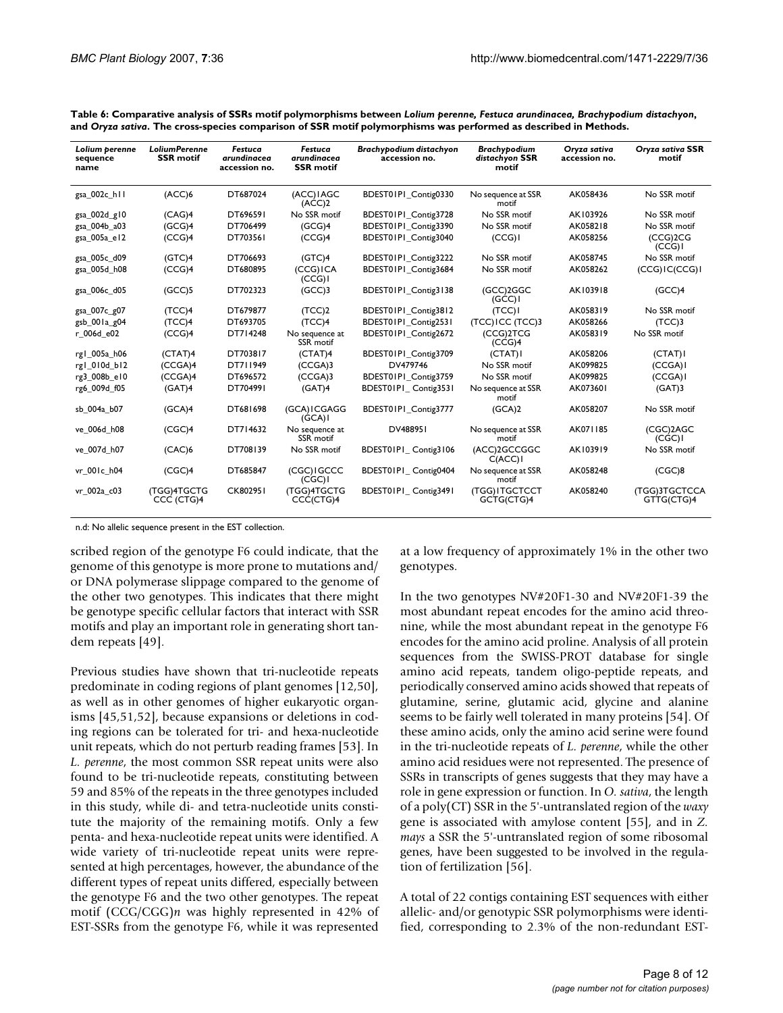| Lolium perenne<br>sequence<br>name | <b>LoliumPerenne</b><br><b>SSR</b> motif | Festuca<br>arundinacea<br>accession no. | Festuca<br>arundinacea<br><b>SSR</b> motif | Brachypodium distachyon<br>accession no. | Brachypodium<br>distachyon SSR<br>motif | Oryza sativa<br>accession no. | Oryza sativa SSR<br>motif   |
|------------------------------------|------------------------------------------|-----------------------------------------|--------------------------------------------|------------------------------------------|-----------------------------------------|-------------------------------|-----------------------------|
| gsa_002c_h11                       | (ACC)6                                   | DT687024                                | (ACC) IAGC<br>(ACC)2                       | BDEST01P1_Contig0330                     | No sequence at SSR<br>motif             | AK058436                      | No SSR motif                |
| gsa_002d_g10                       | (CAG)4                                   | DT696591                                | No SSR motif                               | BDEST01P1 Contig3728                     | No SSR motif                            | AK103926                      | No SSR motif                |
| gsa 004b a03                       | (GCG)4                                   | DT706499                                | (GCG)4                                     | BDEST01P1 Contig3390                     | No SSR motif                            | AK058218                      | No SSR motif                |
| gsa 005a e12                       | (CCG)4                                   | DT703561                                | (CCG)4                                     | BDEST01P1 Contig3040                     | (CCG)                                   | AK058256                      | (CCG)2CG<br>(CCG)           |
| gsa_005c_d09                       | (GTC)4                                   | DT706693                                | (GTC)4                                     | BDEST01P1 Contig3222                     | No SSR motif                            | AK058745                      | No SSR motif                |
| gsa 005d h08                       | (CCG)4                                   | DT680895                                | (CCG) ICA<br>(CCG)                         | BDEST01P1 Contig3684                     | No SSR motif                            | AK058262                      | (CCG) IC(CCG) I             |
| gsa 006c d05                       | (GCC)5                                   | DT702323                                | $(GCC)$ 3                                  | BDEST01P1 Contig3138                     | (GCC)2GGC<br>(GCC)                      | AK103918                      | (GCC)4                      |
| gsa 007c g07                       | (TCC)4                                   | DT679877                                | (TCC)2                                     | BDEST01P1 Contig3812                     | (TCC)                                   | AK058319                      | No SSR motif                |
| gsb_001a_g04                       | (TCC)4                                   | DT693705                                | (TCC)4                                     | BDEST01P1 Contig2531                     | (TCC) ICC (TCC)3                        | AK058266                      | $(TCC)$ 3                   |
| r 006d e02                         | (CCG)4                                   | DT714248                                | No sequence at<br>SSR motif                | BDEST01P1 Contig2672                     | (CCG)2TCG<br>(CCG)4                     | AK058319                      | No SSR motif                |
| rg1 005a h06                       | (CTAT)4                                  | DT703817                                | (CTAT)4                                    | BDEST01P1 Contig3709                     | (CTAT)                                  | AK058206                      | (CTAT)                      |
| rg1_010d_b12                       | (CCGA)4                                  | DT711949                                | (CCGA)3                                    | DV479746                                 | No SSR motif                            | AK099825                      | (CCGA)                      |
| rg3 008b e10                       | (CCGA)4                                  | DT696572                                | (CCGA)3                                    | BDEST01P1 Contig3759                     | No SSR motif                            | AK099825                      | (CCGA)                      |
| rg6_009d_f05                       | (GAT)4                                   | DT704991                                | (GAT)4                                     | BDEST01P1 Contig3531                     | No sequence at SSR<br>motif             | AK073601                      | (GAT)3                      |
| sb 004a b07                        | (GCA)4                                   | DT681698                                | (GCA) I CGAGG<br>(GCA)                     | BDEST01P1 Contig3777                     | (GCA)2                                  | AK058207                      | No SSR motif                |
| ve_006d_h08                        | (CGC)4                                   | DT714632                                | No sequence at<br>SSR motif                | DV488951                                 | No sequence at SSR<br>motif             | AK071185                      | (CGC)2AGC<br>(CGC)          |
| ve 007d h07                        | (CAC)6                                   | DT708139                                | No SSR motif                               | BDEST01PI_Contig3106                     | (ACC)2GCCGGC<br>C(ACC)                  | AK103919                      | No SSR motif                |
| vr 001c h04                        | (CGC)4                                   | DT685847                                | (CGC) IGCCC<br>(CGC)                       | BDEST01P1 Contig0404                     | No sequence at SSR<br>motif             | AK058248                      | (CGC)8                      |
| vr 002a_c03                        | (TGG)4TGCTG<br>CCC (CTG)4                | CK802951                                | <b>(TGG)4TGCTG</b><br>CCC(CTG)4            | BDEST01P1 Contig3491                     | (TGG) ITGCTCCT<br>GCTG(CTG)4            | AK058240                      | (TGG)3TGCTCCA<br>GTTG(CTG)4 |

**Table 6: Comparative analysis of SSRs motif polymorphisms between** *Lolium perenne, Festuca arundinacea, Brachypodium distachyon***, and** *Oryza sativa***. The cross-species comparison of SSR motif polymorphisms was performed as described in Methods.**

n.d: No allelic sequence present in the EST collection.

scribed region of the genotype F6 could indicate, that the genome of this genotype is more prone to mutations and/ or DNA polymerase slippage compared to the genome of the other two genotypes. This indicates that there might be genotype specific cellular factors that interact with SSR motifs and play an important role in generating short tandem repeats [49].

Previous studies have shown that tri-nucleotide repeats predominate in coding regions of plant genomes [12,50], as well as in other genomes of higher eukaryotic organisms [45,51,52], because expansions or deletions in coding regions can be tolerated for tri- and hexa-nucleotide unit repeats, which do not perturb reading frames [53]. In *L. perenne*, the most common SSR repeat units were also found to be tri-nucleotide repeats, constituting between 59 and 85% of the repeats in the three genotypes included in this study, while di- and tetra-nucleotide units constitute the majority of the remaining motifs. Only a few penta- and hexa-nucleotide repeat units were identified. A wide variety of tri-nucleotide repeat units were represented at high percentages, however, the abundance of the different types of repeat units differed, especially between the genotype F6 and the two other genotypes. The repeat motif (CCG/CGG)*n* was highly represented in 42% of EST-SSRs from the genotype F6, while it was represented

at a low frequency of approximately 1% in the other two genotypes.

In the two genotypes NV#20F1-30 and NV#20F1-39 the most abundant repeat encodes for the amino acid threonine, while the most abundant repeat in the genotype F6 encodes for the amino acid proline. Analysis of all protein sequences from the SWISS-PROT database for single amino acid repeats, tandem oligo-peptide repeats, and periodically conserved amino acids showed that repeats of glutamine, serine, glutamic acid, glycine and alanine seems to be fairly well tolerated in many proteins [54]. Of these amino acids, only the amino acid serine were found in the tri-nucleotide repeats of *L. perenne*, while the other amino acid residues were not represented. The presence of SSRs in transcripts of genes suggests that they may have a role in gene expression or function. In *O. sativa*, the length of a poly(CT) SSR in the 5'-untranslated region of the *waxy* gene is associated with amylose content [55], and in *Z. mays* a SSR the 5'-untranslated region of some ribosomal genes, have been suggested to be involved in the regulation of fertilization [56].

A total of 22 contigs containing EST sequences with either allelic- and/or genotypic SSR polymorphisms were identified, corresponding to 2.3% of the non-redundant EST-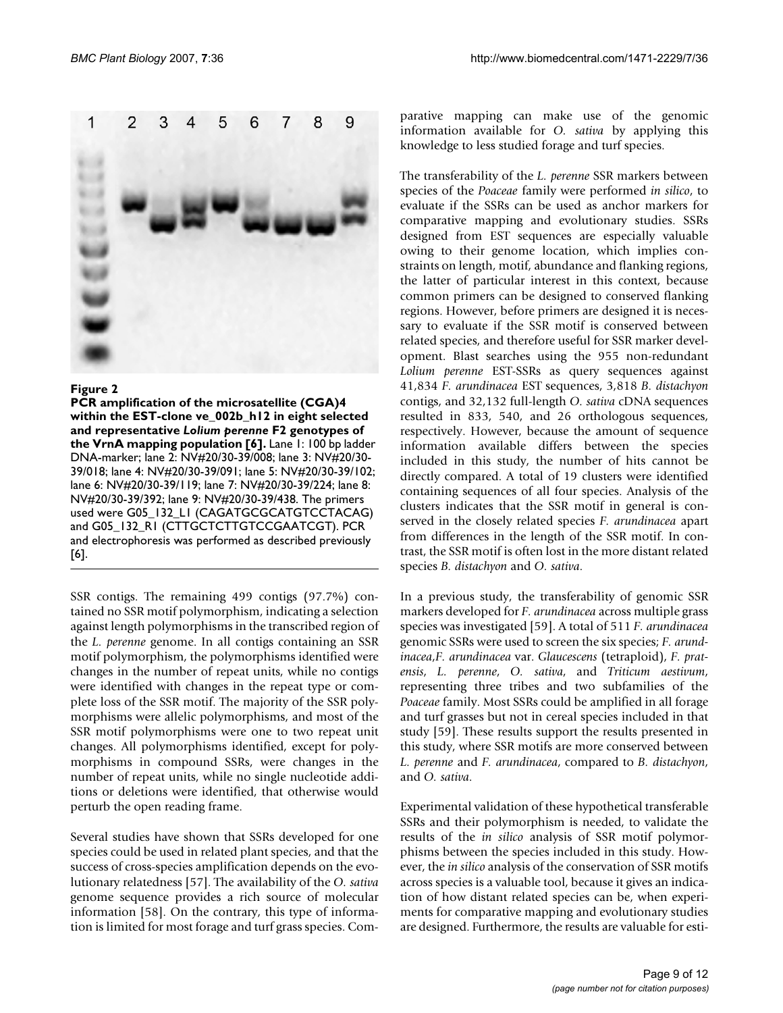

# Figure 2

**PCR amplification of the microsatellite (CGA)4 within the EST-clone ve\_002b\_h12 in eight selected and representative** *Lolium perenne* **F2 genotypes of the VrnA mapping population [6].** Lane 1: 100 bp ladder DNA-marker; lane 2: NV#20/30-39/008; lane 3: NV#20/30- 39/018; lane 4: NV#20/30-39/091; lane 5: NV#20/30-39/102; lane 6: NV#20/30-39/119; lane 7: NV#20/30-39/224; lane 8: NV#20/30-39/392; lane 9: NV#20/30-39/438. The primers used were G05\_132\_L1 (CAGATGCGCATGTCCTACAG) and G05\_132\_R1 (CTTGCTCTTGTCCGAATCGT). PCR and electrophoresis was performed as described previously [6].

SSR contigs. The remaining 499 contigs (97.7%) contained no SSR motif polymorphism, indicating a selection against length polymorphisms in the transcribed region of the *L. perenne* genome. In all contigs containing an SSR motif polymorphism, the polymorphisms identified were changes in the number of repeat units, while no contigs were identified with changes in the repeat type or complete loss of the SSR motif. The majority of the SSR polymorphisms were allelic polymorphisms, and most of the SSR motif polymorphisms were one to two repeat unit changes. All polymorphisms identified, except for polymorphisms in compound SSRs, were changes in the number of repeat units, while no single nucleotide additions or deletions were identified, that otherwise would perturb the open reading frame.

Several studies have shown that SSRs developed for one species could be used in related plant species, and that the success of cross-species amplification depends on the evolutionary relatedness [57]. The availability of the *O. sativa* genome sequence provides a rich source of molecular information [58]. On the contrary, this type of information is limited for most forage and turf grass species. Comparative mapping can make use of the genomic information available for *O. sativa* by applying this knowledge to less studied forage and turf species.

The transferability of the *L. perenne* SSR markers between species of the *Poaceae* family were performed *in silico*, to evaluate if the SSRs can be used as anchor markers for comparative mapping and evolutionary studies. SSRs designed from EST sequences are especially valuable owing to their genome location, which implies constraints on length, motif, abundance and flanking regions, the latter of particular interest in this context, because common primers can be designed to conserved flanking regions. However, before primers are designed it is necessary to evaluate if the SSR motif is conserved between related species, and therefore useful for SSR marker development. Blast searches using the 955 non-redundant *Lolium perenne* EST-SSRs as query sequences against 41,834 *F. arundinacea* EST sequences, 3,818 *B. distachyon* contigs, and 32,132 full-length *O. sativa* cDNA sequences resulted in 833, 540, and 26 orthologous sequences, respectively. However, because the amount of sequence information available differs between the species included in this study, the number of hits cannot be directly compared. A total of 19 clusters were identified containing sequences of all four species. Analysis of the clusters indicates that the SSR motif in general is conserved in the closely related species *F. arundinacea* apart from differences in the length of the SSR motif. In contrast, the SSR motif is often lost in the more distant related species *B. distachyon* and *O. sativa*.

In a previous study, the transferability of genomic SSR markers developed for *F. arundinacea* across multiple grass species was investigated [59]. A total of 511 *F. arundinacea* genomic SSRs were used to screen the six species; *F. arundinacea*,*F. arundinacea* var. *Glaucescens* (tetraploid), *F. pratensis*, *L. perenne*, *O. sativa*, and *Triticum aestivum*, representing three tribes and two subfamilies of the *Poaceae* family. Most SSRs could be amplified in all forage and turf grasses but not in cereal species included in that study [59]. These results support the results presented in this study, where SSR motifs are more conserved between *L. perenne* and *F. arundinacea*, compared to *B. distachyon*, and *O. sativa*.

Experimental validation of these hypothetical transferable SSRs and their polymorphism is needed, to validate the results of the *in silico* analysis of SSR motif polymorphisms between the species included in this study. However, the *in silico* analysis of the conservation of SSR motifs across species is a valuable tool, because it gives an indication of how distant related species can be, when experiments for comparative mapping and evolutionary studies are designed. Furthermore, the results are valuable for esti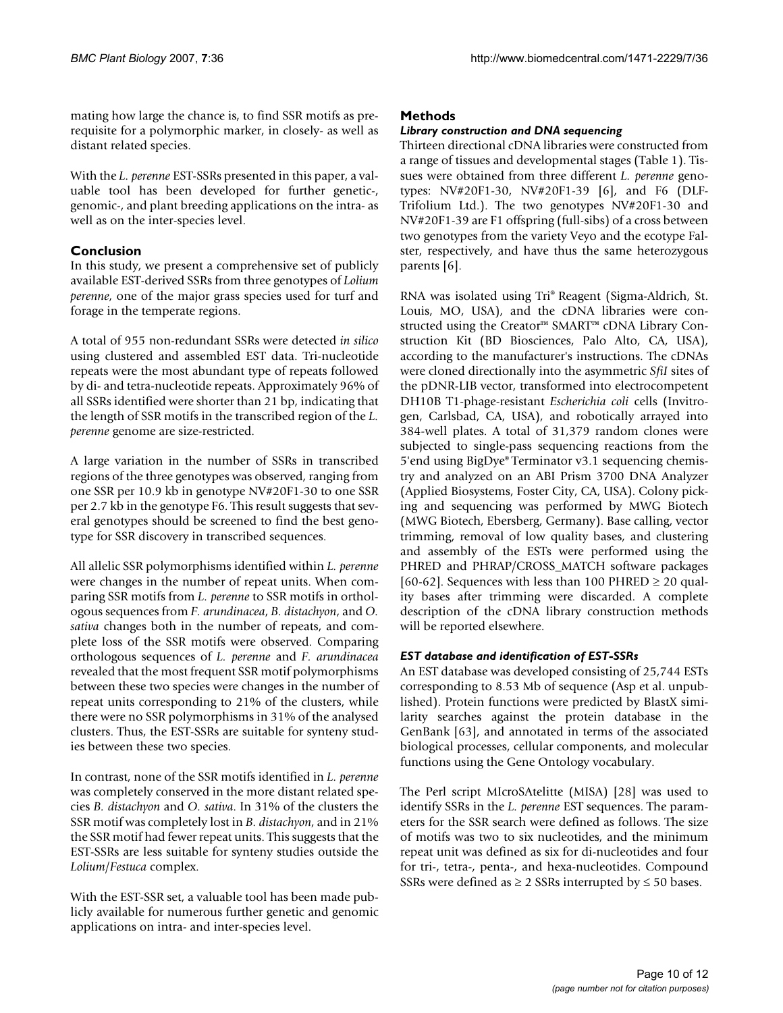mating how large the chance is, to find SSR motifs as prerequisite for a polymorphic marker, in closely- as well as distant related species.

With the *L. perenne* EST-SSRs presented in this paper, a valuable tool has been developed for further genetic-, genomic-, and plant breeding applications on the intra- as well as on the inter-species level.

# **Conclusion**

In this study, we present a comprehensive set of publicly available EST-derived SSRs from three genotypes of *Lolium perenne*, one of the major grass species used for turf and forage in the temperate regions.

A total of 955 non-redundant SSRs were detected *in silico* using clustered and assembled EST data. Tri-nucleotide repeats were the most abundant type of repeats followed by di- and tetra-nucleotide repeats. Approximately 96% of all SSRs identified were shorter than 21 bp, indicating that the length of SSR motifs in the transcribed region of the *L. perenne* genome are size-restricted.

A large variation in the number of SSRs in transcribed regions of the three genotypes was observed, ranging from one SSR per 10.9 kb in genotype NV#20F1-30 to one SSR per 2.7 kb in the genotype F6. This result suggests that several genotypes should be screened to find the best genotype for SSR discovery in transcribed sequences.

All allelic SSR polymorphisms identified within *L. perenne* were changes in the number of repeat units. When comparing SSR motifs from *L. perenne* to SSR motifs in orthologous sequences from *F. arundinacea*, *B. distachyon*, and *O. sativa* changes both in the number of repeats, and complete loss of the SSR motifs were observed. Comparing orthologous sequences of *L. perenne* and *F. arundinacea* revealed that the most frequent SSR motif polymorphisms between these two species were changes in the number of repeat units corresponding to 21% of the clusters, while there were no SSR polymorphisms in 31% of the analysed clusters. Thus, the EST-SSRs are suitable for synteny studies between these two species.

In contrast, none of the SSR motifs identified in *L. perenne* was completely conserved in the more distant related species *B. distachyon* and *O. sativa*. In 31% of the clusters the SSR motif was completely lost in *B. distachyon*, and in 21% the SSR motif had fewer repeat units. This suggests that the EST-SSRs are less suitable for synteny studies outside the *Lolium*/*Festuca* complex.

With the EST-SSR set, a valuable tool has been made publicly available for numerous further genetic and genomic applications on intra- and inter-species level.

# **Methods**

# *Library construction and DNA sequencing*

Thirteen directional cDNA libraries were constructed from a range of tissues and developmental stages (Table 1). Tissues were obtained from three different *L. perenne* genotypes: NV#20F1-30, NV#20F1-39 [6], and F6 (DLF-Trifolium Ltd.). The two genotypes NV#20F1-30 and NV#20F1-39 are F1 offspring (full-sibs) of a cross between two genotypes from the variety Veyo and the ecotype Falster, respectively, and have thus the same heterozygous parents [6].

RNA was isolated using Tri® Reagent (Sigma-Aldrich, St. Louis, MO, USA), and the cDNA libraries were constructed using the Creator™ SMART™ cDNA Library Construction Kit (BD Biosciences, Palo Alto, CA, USA), according to the manufacturer's instructions. The cDNAs were cloned directionally into the asymmetric *SfiI* sites of the pDNR-LIB vector, transformed into electrocompetent DH10B T1-phage-resistant *Escherichia coli* cells (Invitrogen, Carlsbad, CA, USA), and robotically arrayed into 384-well plates. A total of 31,379 random clones were subjected to single-pass sequencing reactions from the 5'end using BigDye® Terminator v3.1 sequencing chemistry and analyzed on an ABI Prism 3700 DNA Analyzer (Applied Biosystems, Foster City, CA, USA). Colony picking and sequencing was performed by MWG Biotech (MWG Biotech, Ebersberg, Germany). Base calling, vector trimming, removal of low quality bases, and clustering and assembly of the ESTs were performed using the PHRED and PHRAP/CROSS\_MATCH software packages [60-62]. Sequences with less than 100 PHRED  $\geq$  20 quality bases after trimming were discarded. A complete description of the cDNA library construction methods will be reported elsewhere.

# *EST database and identification of EST-SSRs*

An EST database was developed consisting of 25,744 ESTs corresponding to 8.53 Mb of sequence (Asp et al. unpublished). Protein functions were predicted by BlastX similarity searches against the protein database in the GenBank [63], and annotated in terms of the associated biological processes, cellular components, and molecular functions using the Gene Ontology vocabulary.

The Perl script MIcroSAtelitte (MISA) [\[28](#page-11-0)] was used to identify SSRs in the *L. perenne* EST sequences. The parameters for the SSR search were defined as follows. The size of motifs was two to six nucleotides, and the minimum repeat unit was defined as six for di-nucleotides and four for tri-, tetra-, penta-, and hexa-nucleotides. Compound SSRs were defined as  $\geq$  2 SSRs interrupted by  $\leq$  50 bases.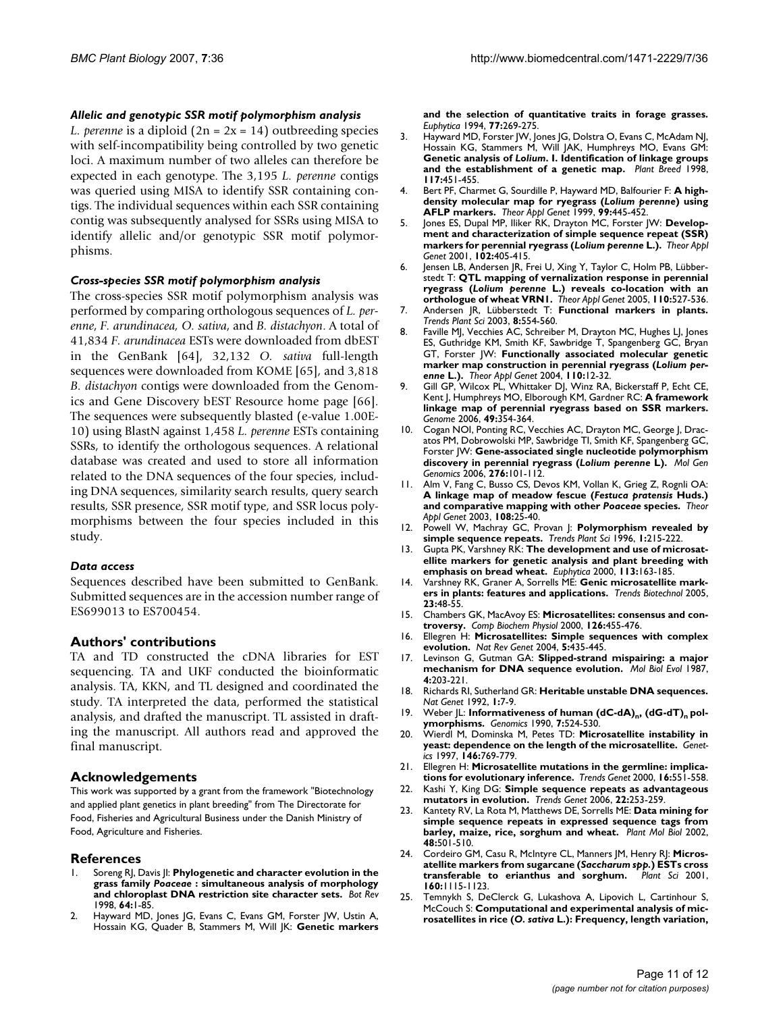#### *Allelic and genotypic SSR motif polymorphism analysis*

*L. perenne* is a diploid  $(2n = 2x = 14)$  outbreeding species with self-incompatibility being controlled by two genetic loci. A maximum number of two alleles can therefore be expected in each genotype. The 3,195 *L. perenne* contigs was queried using MISA to identify SSR containing contigs. The individual sequences within each SSR containing contig was subsequently analysed for SSRs using MISA to identify allelic and/or genotypic SSR motif polymorphisms.

### *Cross-species SSR motif polymorphism analysis*

The cross-species SSR motif polymorphism analysis was performed by comparing orthologous sequences of *L. perenne*, *F. arundinacea, O. sativa*, and *B. distachyon*. A total of 41,834 *F. arundinacea* ESTs were downloaded from dbEST in the GenBank [64], 32,132 *O. sativa* full-length sequences were downloaded from KOME [65], and 3,818 *B. distachyon* contigs were downloaded from the Genomics and Gene Discovery bEST Resource home page [66]. The sequences were subsequently blasted (e-value 1.00E-10) using BlastN against 1,458 *L. perenne* ESTs containing SSRs, to identify the orthologous sequences. A relational database was created and used to store all information related to the DNA sequences of the four species, including DNA sequences, similarity search results, query search results, SSR presence, SSR motif type, and SSR locus polymorphisms between the four species included in this study.

#### *Data access*

Sequences described have been submitted to GenBank. Submitted sequences are in the accession number range of ES699013 to ES700454.

# **Authors' contributions**

TA and TD constructed the cDNA libraries for EST sequencing. TA and UKF conducted the bioinformatic analysis. TA, KKN, and TL designed and coordinated the study. TA interpreted the data, performed the statistical analysis, and drafted the manuscript. TL assisted in drafting the manuscript. All authors read and approved the final manuscript.

# **Acknowledgements**

This work was supported by a grant from the framework "Biotechnology and applied plant genetics in plant breeding" from The Directorate for Food, Fisheries and Agricultural Business under the Danish Ministry of Food, Agriculture and Fisheries.

#### **References**

- 1. Soreng RJ, Davis JI: **Phylogenetic and character evolution in the grass family** *Poaceae* **: simultaneous analysis of morphology and chloroplast DNA restriction site character sets.** *Bot Rev* 1998, **64:**1-85.
- 2. Hayward MD, Jones JG, Evans C, Evans GM, Forster JW, Ustin A, Hossain KG, Quader B, Stammers M, Will JK: **Genetic markers**

**and the selection of quantitative traits in forage grasses.** *Euphytica* 1994, **77:**269-275.

- 3. Hayward MD, Forster JW, Jones JG, Dolstra O, Evans C, McAdam NJ, Hossain KG, Stammers M, Will JAK, Humphreys MO, Evans GM: **Genetic analysis of** *Lolium***. I. Identification of linkage groups and the establishment of a genetic map.** *Plant Breed* 1998, **117:**451-455.
- 4. Bert PF, Charmet G, Sourdille P, Hayward MD, Balfourier F: **A highdensity molecular map for ryegrass (***Lolium perenne***) using AFLP markers.** *Theor Appl Genet* 1999, **99:**445-452.
- 5. Jones ES, Dupal MP, Iliker RK, Drayton MC, Forster JW: **Development and characterization of simple sequence repeat (SSR) markers for perennial ryegrass (***Lolium perenne* **L.).** *Theor Appl Genet* 2001, **102:**405-415.
- 6. Jensen LB, Andersen JR, Frei U, Xing Y, Taylor C, Holm PB, Lübberstedt T: **QTL mapping of vernalization response in perennial ryegrass (***Lolium perenne* **[L.\) reveals co-location with an](http://www.ncbi.nlm.nih.gov/entrez/query.fcgi?cmd=Retrieve&db=PubMed&dopt=Abstract&list_uids=15619078) [orthologue of wheat VRN1.](http://www.ncbi.nlm.nih.gov/entrez/query.fcgi?cmd=Retrieve&db=PubMed&dopt=Abstract&list_uids=15619078)** *Theor Appl Genet* 2005, **110:**527-536.
- 7. Andersen JR, Lübberstedt T: **[Functional markers in plants.](http://www.ncbi.nlm.nih.gov/entrez/query.fcgi?cmd=Retrieve&db=PubMed&dopt=Abstract&list_uids=14607101)** *Trends Plant Sci* 2003, **8:**554-560.
- 8. Faville MJ, Vecchies AC, Schreiber M, Drayton MC, Hughes LJ, Jones ES, Guthridge KM, Smith KF, Sawbridge T, Spangenberg GC, Bryan GT, Forster JW: **Functionally associated molecular genetic marker map construction in perennial ryegrass (***Lolium perenne* **[L.\).](http://www.ncbi.nlm.nih.gov/entrez/query.fcgi?cmd=Retrieve&db=PubMed&dopt=Abstract&list_uids=15526086)** *Theor Appl Genet* 2004, **110:**12-32.
- 9. Gill GP, Wilcox PL, Whittaker DJ, Winz RA, Bickerstaff P, Echt CE, Kent J, Humphreys MO, Elborough KM, Gardner RC: **[A framework](http://www.ncbi.nlm.nih.gov/entrez/query.fcgi?cmd=Retrieve&db=PubMed&dopt=Abstract&list_uids=16699555) [linkage map of perennial ryegrass based on SSR markers.](http://www.ncbi.nlm.nih.gov/entrez/query.fcgi?cmd=Retrieve&db=PubMed&dopt=Abstract&list_uids=16699555)** *Genome* 2006, **49:**354-364.
- 10. Cogan NOI, Ponting RC, Vecchies AC, Drayton MC, George J, Dracatos PM, Dobrowolski MP, Sawbridge TI, Smith KF, Spangenberg GC, Forster JW: **Gene-associated single nucleotide polymorphism discovery in perennial ryegrass (***Lolium perenne* **L).** *Mol Gen Genomics* 2006, **276:**101-112.
- 11. Alm V, Fang C, Busso CS, Devos KM, Vollan K, Grieg Z, Rognli OA: **A linkage map of meadow fescue (***Festuca pratensis* **Huds.) and comparative mapping with other** *Poaceae* **[species.](http://www.ncbi.nlm.nih.gov/entrez/query.fcgi?cmd=Retrieve&db=PubMed&dopt=Abstract&list_uids=12923626)** *Theor Appl Genet* 2003, **108:**25-40.
- 12. Powell W, Machray GC, Provan J: **Polymorphism revealed by simple sequence repeats.** *Trends Plant Sci* 1996, **1:**215-222.
- 13. Gupta PK, Varshney RK: **The development and use of microsatellite markers for genetic analysis and plant breeding with emphasis on bread wheat.** *Euphytica* 2000, **113:**163-185.
- 14. Varshney RK, Graner A, Sorrells ME: **[Genic microsatellite mark](http://www.ncbi.nlm.nih.gov/entrez/query.fcgi?cmd=Retrieve&db=PubMed&dopt=Abstract&list_uids=15629858)[ers in plants: features and applications.](http://www.ncbi.nlm.nih.gov/entrez/query.fcgi?cmd=Retrieve&db=PubMed&dopt=Abstract&list_uids=15629858)** *Trends Biotechnol* 2005, **23:**48-55.
- 15. Chambers GK, MacAvoy ES: **Microsatellites: consensus and controversy.** *Comp Biochem Physiol* 2000, **126:**455-476.
- 16. Ellegren H: **[Microsatellites: Simple sequences with complex](http://www.ncbi.nlm.nih.gov/entrez/query.fcgi?cmd=Retrieve&db=PubMed&dopt=Abstract&list_uids=15153996) [evolution.](http://www.ncbi.nlm.nih.gov/entrez/query.fcgi?cmd=Retrieve&db=PubMed&dopt=Abstract&list_uids=15153996)** *Nat Rev Genet* 2004, **5:**435-445.
- 17. Levinson G, Gutman GA: **[Slipped-strand mispairing: a major](http://www.ncbi.nlm.nih.gov/entrez/query.fcgi?cmd=Retrieve&db=PubMed&dopt=Abstract&list_uids=3328815) [mechanism for DNA sequence evolution.](http://www.ncbi.nlm.nih.gov/entrez/query.fcgi?cmd=Retrieve&db=PubMed&dopt=Abstract&list_uids=3328815)** *Mol Biol Evol* 1987, **4:**203-221.
- 18. Richards RI, Sutherland GR: **[Heritable unstable DNA sequences.](http://www.ncbi.nlm.nih.gov/entrez/query.fcgi?cmd=Retrieve&db=PubMed&dopt=Abstract&list_uids=1302002)** *Nat Genet* 1992, **1:**7-9.
- 19. Weber JL: Informativeness of human (dC-dA)<sub>n</sub>, (dG-dT)<sub>n</sub> [pol](http://www.ncbi.nlm.nih.gov/entrez/query.fcgi?cmd=Retrieve&db=PubMed&dopt=Abstract&list_uids=1974878)**[ymorphisms.](http://www.ncbi.nlm.nih.gov/entrez/query.fcgi?cmd=Retrieve&db=PubMed&dopt=Abstract&list_uids=1974878)** *Genomics* 1990, **7:**524-530.
- 20. Wierdl M, Dominska M, Petes TD: **[Microsatellite instability in](http://www.ncbi.nlm.nih.gov/entrez/query.fcgi?cmd=Retrieve&db=PubMed&dopt=Abstract&list_uids=9215886) [yeast: dependence on the length of the microsatellite.](http://www.ncbi.nlm.nih.gov/entrez/query.fcgi?cmd=Retrieve&db=PubMed&dopt=Abstract&list_uids=9215886)** *Genetics* 1997, **146:**769-779.
- 21. Ellegren H: **[Microsatellite mutations in the germline: implica](http://www.ncbi.nlm.nih.gov/entrez/query.fcgi?cmd=Retrieve&db=PubMed&dopt=Abstract&list_uids=11102705)[tions for evolutionary inference.](http://www.ncbi.nlm.nih.gov/entrez/query.fcgi?cmd=Retrieve&db=PubMed&dopt=Abstract&list_uids=11102705)** *Trends Genet* 2000, **16:**551-558.
- 22. Kashi Y, King DG: **[Simple sequence repeats as advantageous](http://www.ncbi.nlm.nih.gov/entrez/query.fcgi?cmd=Retrieve&db=PubMed&dopt=Abstract&list_uids=16567018) [mutators in evolution.](http://www.ncbi.nlm.nih.gov/entrez/query.fcgi?cmd=Retrieve&db=PubMed&dopt=Abstract&list_uids=16567018)** *Trends Genet* 2006, **22:**253-259.
- 23. Kantety RV, La Rota M, Matthews DE, Sorrells ME: **[Data mining for](http://www.ncbi.nlm.nih.gov/entrez/query.fcgi?cmd=Retrieve&db=PubMed&dopt=Abstract&list_uids=11999831) [simple sequence repeats in expressed sequence tags from](http://www.ncbi.nlm.nih.gov/entrez/query.fcgi?cmd=Retrieve&db=PubMed&dopt=Abstract&list_uids=11999831) [barley, maize, rice, sorghum and wheat.](http://www.ncbi.nlm.nih.gov/entrez/query.fcgi?cmd=Retrieve&db=PubMed&dopt=Abstract&list_uids=11999831)** *Plant Mol Biol* 2002, **48:**501-510.
- 24. Cordeiro GM, Casu R, McIntyre CL, Manners JM, Henry RJ: **Microsatellite markers from sugarcane (***Saccharum spp.***[\) ESTs cross](http://www.ncbi.nlm.nih.gov/entrez/query.fcgi?cmd=Retrieve&db=PubMed&dopt=Abstract&list_uids=11337068) [transferable to erianthus and sorghum.](http://www.ncbi.nlm.nih.gov/entrez/query.fcgi?cmd=Retrieve&db=PubMed&dopt=Abstract&list_uids=11337068)** *Plant Sci* 2001, **160:**1115-1123.
- 25. Temnykh S, DeClerck G, Lukashova A, Lipovich L, Cartinhour S, McCouch S: **Computational and experimental analysis of microsatellites in rice (***O. sativa* **[L.\): Frequency, length variation,](http://www.ncbi.nlm.nih.gov/entrez/query.fcgi?cmd=Retrieve&db=PubMed&dopt=Abstract&list_uids=11483586)**